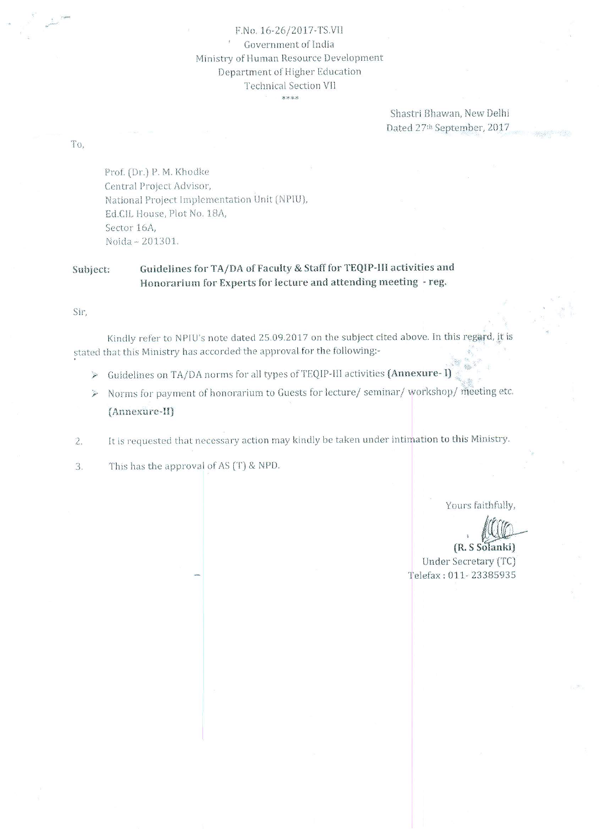F.No. 16-26/2017-TS.VII Government of India Ministry of Human Resource Development Department of Higher Education **Technical Section VII** \*\*\*\*

> Shastri Bhawan, New Delhi Dated 27th September, 2017

To,

Prof. (Dr.) P. M. Khodke Central Project Advisor, National Project Implementation Unit (NPIU), Ed.CIL House, Plot No. 18A, Sector 16A, Noida - 201301.

#### Guidelines for TA/DA of Faculty & Staff for TEQIP-III activities and Subject: Honorarium for Experts for lecture and attending meeting - reg.

Sir,

Kindly refer to NPIU's note dated 25.09.2017 on the subject cited above. In this regard, it is stated that this Ministry has accorded the approval for the following:-

- > Guidelines on TA/DA norms for all types of TEQIP-III activities (Annexure- I)
- > Norms for payment of honorarium to Guests for lecture/seminar/workshop/meeting etc. (Annexure-II)
- It is requested that necessary action may kindly be taken under intimation to this Ministry.  $2.$
- $3.$ This has the approval of AS (T) & NPD.

Yours faithfully,

(R. S Solanki) Under Secretary (TC) Telefax: 011-23385935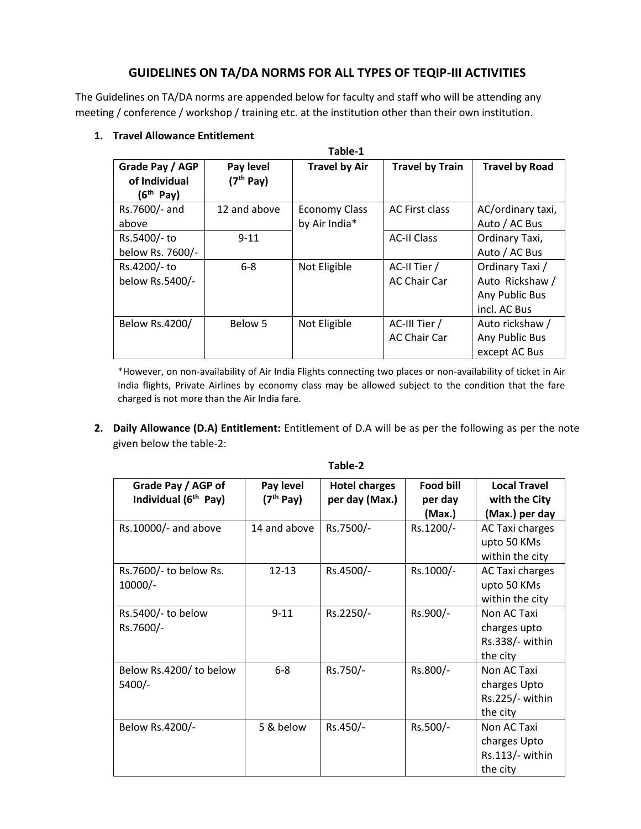# **GUIDELINES ON TA/DA NORMS FOR ALL TYPES OF TEQIP-III ACTIVITIES**

The Guidelines on TA/DA norms are appended below for faculty and staff who will be attending any meeting / conference / workshop / training etc. at the institution other than their own institution.

| Table-1                                                   |                                    |                      |                        |                       |  |  |  |
|-----------------------------------------------------------|------------------------------------|----------------------|------------------------|-----------------------|--|--|--|
| Grade Pay / AGP<br>of Individual<br>(6 <sup>th</sup> Pay) | Pay level<br>(7 <sup>th</sup> Pay) | <b>Travel by Air</b> | <b>Travel by Train</b> | <b>Travel by Road</b> |  |  |  |
| Rs.7600/- and                                             | 12 and above                       | <b>Economy Class</b> | AC First class         | AC/ordinary taxi,     |  |  |  |
| above                                                     |                                    | by Air India*        |                        | Auto / AC Bus         |  |  |  |
| Rs.5400/- to                                              | $9 - 11$                           |                      | <b>AC-II Class</b>     | Ordinary Taxi,        |  |  |  |
| below Rs. 7600/-                                          |                                    |                      |                        | Auto / AC Bus         |  |  |  |
| Rs.4200/- to                                              | $6 - 8$                            | Not Eligible         | AC-II Tier /           | Ordinary Taxi /       |  |  |  |
| below Rs.5400/-                                           |                                    |                      | AC Chair Car           | Auto Rickshaw /       |  |  |  |
|                                                           |                                    |                      |                        | Any Public Bus        |  |  |  |
|                                                           |                                    |                      |                        | incl. AC Bus          |  |  |  |
| Below Rs.4200/                                            | Below 5                            | Not Eligible         | AC-III Tier /          | Auto rickshaw /       |  |  |  |
|                                                           |                                    |                      | <b>AC Chair Car</b>    | Any Public Bus        |  |  |  |
|                                                           |                                    |                      |                        | except AC Bus         |  |  |  |

## **1. Travel Allowance Entitlement**

\*However, on non-availability of Air India Flights connecting two places or non-availability of ticket in Air India flights, Private Airlines by economy class may be allowed subject to the condition that the fare charged is not more than the Air India fare.

**2. Daily Allowance (D.A) Entitlement:** Entitlement of D.A will be as per the following as per the note given below the table-2:

| Grade Pay / AGP of               | Pay level             | <b>Hotel charges</b> | Food bill | <b>Local Travel</b> |
|----------------------------------|-----------------------|----------------------|-----------|---------------------|
| Individual (6 <sup>th</sup> Pay) | (7 <sup>th</sup> Pay) | per day (Max.)       | per day   | with the City       |
|                                  |                       |                      | (Max.)    | (Max.) per day      |
| Rs.10000/- and above             | 14 and above          | Rs.7500/-            | Rs.1200/- | AC Taxi charges     |
|                                  |                       |                      |           | upto 50 KMs         |
|                                  |                       |                      |           | within the city     |
| Rs.7600/- to below Rs.           | $12 - 13$             | Rs.4500/-            | Rs.1000/- | AC Taxi charges     |
| $10000/-$                        |                       |                      |           | upto 50 KMs         |
|                                  |                       |                      |           | within the city     |
| Rs.5400/- to below               | $9 - 11$              | Rs.2250/-            | Rs.900/-  | Non AC Taxi         |
| Rs.7600/-                        |                       |                      |           | charges upto        |
|                                  |                       |                      |           | Rs.338/- within     |
|                                  |                       |                      |           | the city            |
| Below Rs.4200/to below           | $6 - 8$               | Rs.750/-             | Rs.800/-  | Non AC Taxi         |
| 5400/-                           |                       |                      |           | charges Upto        |
|                                  |                       |                      |           | Rs.225/- within     |
|                                  |                       |                      |           | the city            |
| Below Rs.4200/-                  | 5 & below             | Rs.450/-             | Rs.500/-  | Non AC Taxi         |
|                                  |                       |                      |           | charges Upto        |
|                                  |                       |                      |           | $Rs.113/-$ within   |
|                                  |                       |                      |           | the city            |

#### **Table-2**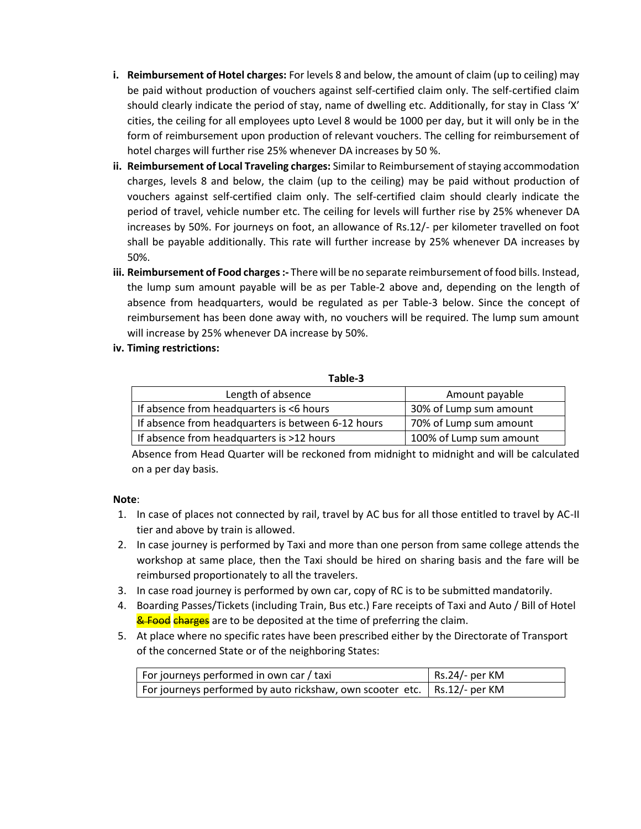- **i. Reimbursement of Hotel charges:** For levels 8 and below, the amount of claim (up to ceiling) may be paid without production of vouchers against self-certified claim only. The self-certified claim should clearly indicate the period of stay, name of dwelling etc. Additionally, for stay in Class 'X' cities, the ceiling for all employees upto Level 8 would be 1000 per day, but it will only be in the form of reimbursement upon production of relevant vouchers. The celling for reimbursement of hotel charges will further rise 25% whenever DA increases by 50 %.
- **ii. Reimbursement of Local Traveling charges:** Similar to Reimbursement of staying accommodation charges, levels 8 and below, the claim (up to the ceiling) may be paid without production of vouchers against self-certified claim only. The self-certified claim should clearly indicate the period of travel, vehicle number etc. The ceiling for levels will further rise by 25% whenever DA increases by 50%. For journeys on foot, an allowance of Rs.12/- per kilometer travelled on foot shall be payable additionally. This rate will further increase by 25% whenever DA increases by 50%.
- **iii. Reimbursement of Food charges :-** There will be no separate reimbursement of food bills. Instead, the lump sum amount payable will be as per Table-2 above and, depending on the length of absence from headquarters, would be regulated as per Table-3 below. Since the concept of reimbursement has been done away with, no vouchers will be required. The lump sum amount will increase by 25% whenever DA increase by 50%.
- **iv. Timing restrictions:**

#### **Table-3**

| Length of absence                                  | Amount payable          |  |
|----------------------------------------------------|-------------------------|--|
| If absence from headquarters is <6 hours           | 30% of Lump sum amount  |  |
| If absence from headquarters is between 6-12 hours | 70% of Lump sum amount  |  |
| If absence from headquarters is >12 hours          | 100% of Lump sum amount |  |

Absence from Head Quarter will be reckoned from midnight to midnight and will be calculated on a per day basis.

# **Note**:

- 1. In case of places not connected by rail, travel by AC bus for all those entitled to travel by AC-II tier and above by train is allowed.
- 2. In case journey is performed by Taxi and more than one person from same college attends the workshop at same place, then the Taxi should be hired on sharing basis and the fare will be reimbursed proportionately to all the travelers.
- 3. In case road journey is performed by own car, copy of RC is to be submitted mandatorily.
- 4. Boarding Passes/Tickets (including Train, Bus etc.) Fare receipts of Taxi and Auto / Bill of Hotel **& Food charges** are to be deposited at the time of preferring the claim.
- 5. At place where no specific rates have been prescribed either by the Directorate of Transport of the concerned State or of the neighboring States:

| For journeys performed in own car / taxi                                   | Rs.24/- per KM |
|----------------------------------------------------------------------------|----------------|
| For journeys performed by auto rickshaw, own scooter etc.   Rs.12/- per KM |                |